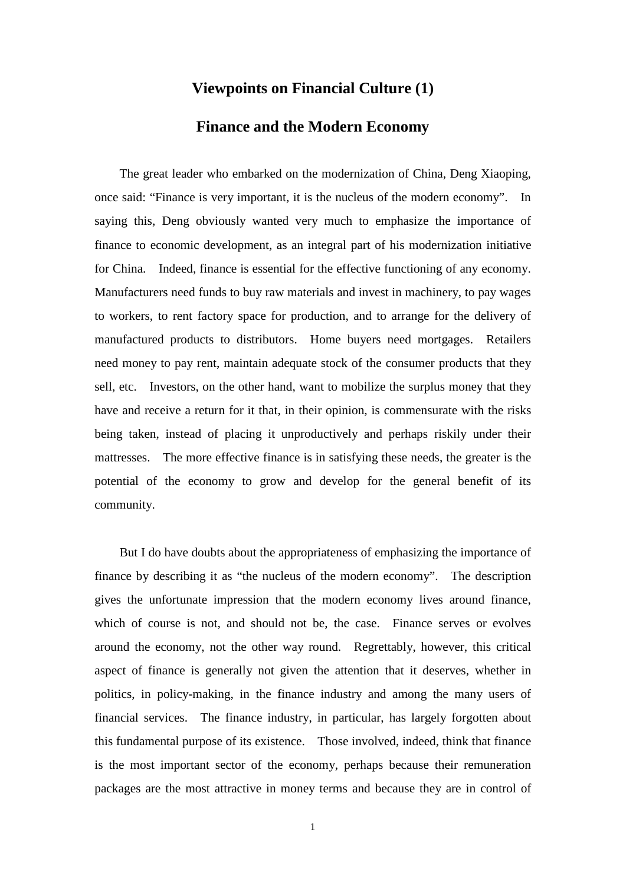## **Viewpoints on Financial Culture (1)**

## **Finance and the Modern Economy**

The great leader who embarked on the modernization of China, Deng Xiaoping, once said: "Finance is very important, it is the nucleus of the modern economy". In saying this, Deng obviously wanted very much to emphasize the importance of finance to economic development, as an integral part of his modernization initiative for China. Indeed, finance is essential for the effective functioning of any economy. Manufacturers need funds to buy raw materials and invest in machinery, to pay wages to workers, to rent factory space for production, and to arrange for the delivery of manufactured products to distributors. Home buyers need mortgages. Retailers need money to pay rent, maintain adequate stock of the consumer products that they sell, etc. Investors, on the other hand, want to mobilize the surplus money that they have and receive a return for it that, in their opinion, is commensurate with the risks being taken, instead of placing it unproductively and perhaps riskily under their mattresses. The more effective finance is in satisfying these needs, the greater is the potential of the economy to grow and develop for the general benefit of its community.

But I do have doubts about the appropriateness of emphasizing the importance of finance by describing it as "the nucleus of the modern economy". The description gives the unfortunate impression that the modern economy lives around finance, which of course is not, and should not be, the case. Finance serves or evolves around the economy, not the other way round. Regrettably, however, this critical aspect of finance is generally not given the attention that it deserves, whether in politics, in policy-making, in the finance industry and among the many users of financial services. The finance industry, in particular, has largely forgotten about this fundamental purpose of its existence. Those involved, indeed, think that finance is the most important sector of the economy, perhaps because their remuneration packages are the most attractive in money terms and because they are in control of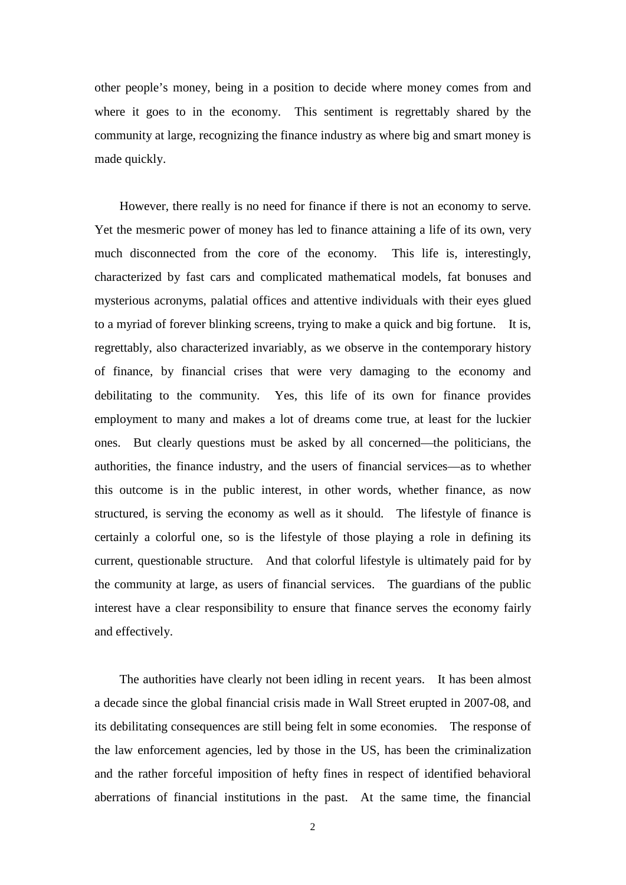other people's money, being in a position to decide where money comes from and where it goes to in the economy. This sentiment is regrettably shared by the community at large, recognizing the finance industry as where big and smart money is made quickly.

However, there really is no need for finance if there is not an economy to serve. Yet the mesmeric power of money has led to finance attaining a life of its own, very much disconnected from the core of the economy. This life is, interestingly, characterized by fast cars and complicated mathematical models, fat bonuses and mysterious acronyms, palatial offices and attentive individuals with their eyes glued to a myriad of forever blinking screens, trying to make a quick and big fortune. It is, regrettably, also characterized invariably, as we observe in the contemporary history of finance, by financial crises that were very damaging to the economy and debilitating to the community. Yes, this life of its own for finance provides employment to many and makes a lot of dreams come true, at least for the luckier ones. But clearly questions must be asked by all concerned—the politicians, the authorities, the finance industry, and the users of financial services—as to whether this outcome is in the public interest, in other words, whether finance, as now structured, is serving the economy as well as it should. The lifestyle of finance is certainly a colorful one, so is the lifestyle of those playing a role in defining its current, questionable structure. And that colorful lifestyle is ultimately paid for by the community at large, as users of financial services. The guardians of the public interest have a clear responsibility to ensure that finance serves the economy fairly and effectively.

The authorities have clearly not been idling in recent years. It has been almost a decade since the global financial crisis made in Wall Street erupted in 2007-08, and its debilitating consequences are still being felt in some economies. The response of the law enforcement agencies, led by those in the US, has been the criminalization and the rather forceful imposition of hefty fines in respect of identified behavioral aberrations of financial institutions in the past. At the same time, the financial